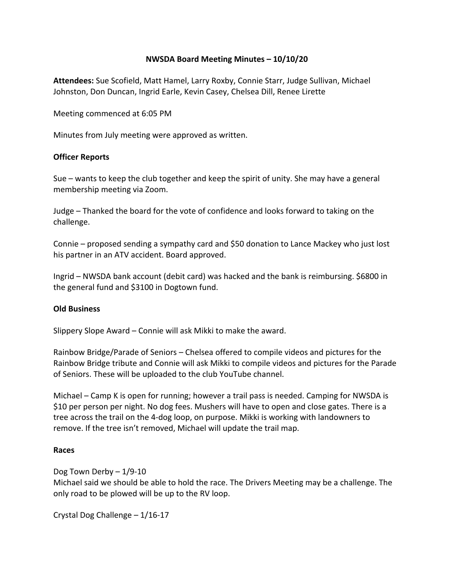# **NWSDA Board Meeting Minutes – 10/10/20**

Attendees: Sue Scofield, Matt Hamel, Larry Roxby, Connie Starr, Judge Sullivan, Michael Johnston, Don Duncan, Ingrid Earle, Kevin Casey, Chelsea Dill, Renee Lirette

Meeting commenced at 6:05 PM

Minutes from July meeting were approved as written.

## **Officer Reports**

Sue – wants to keep the club together and keep the spirit of unity. She may have a general membership meeting via Zoom.

Judge – Thanked the board for the vote of confidence and looks forward to taking on the challenge.

Connie – proposed sending a sympathy card and \$50 donation to Lance Mackey who just lost his partner in an ATV accident. Board approved.

Ingrid – NWSDA bank account (debit card) was hacked and the bank is reimbursing. \$6800 in the general fund and \$3100 in Dogtown fund.

#### **Old Business**

Slippery Slope Award – Connie will ask Mikki to make the award.

Rainbow Bridge/Parade of Seniors – Chelsea offered to compile videos and pictures for the Rainbow Bridge tribute and Connie will ask Mikki to compile videos and pictures for the Parade of Seniors. These will be uploaded to the club YouTube channel.

Michael – Camp K is open for running; however a trail pass is needed. Camping for NWSDA is \$10 per person per night. No dog fees. Mushers will have to open and close gates. There is a tree across the trail on the 4-dog loop, on purpose. Mikki is working with landowners to remove. If the tree isn't removed, Michael will update the trail map.

#### **Races**

Dog Town Derby  $-1/9-10$ 

Michael said we should be able to hold the race. The Drivers Meeting may be a challenge. The only road to be plowed will be up to the RV loop.

Crystal Dog Challenge  $-1/16-17$